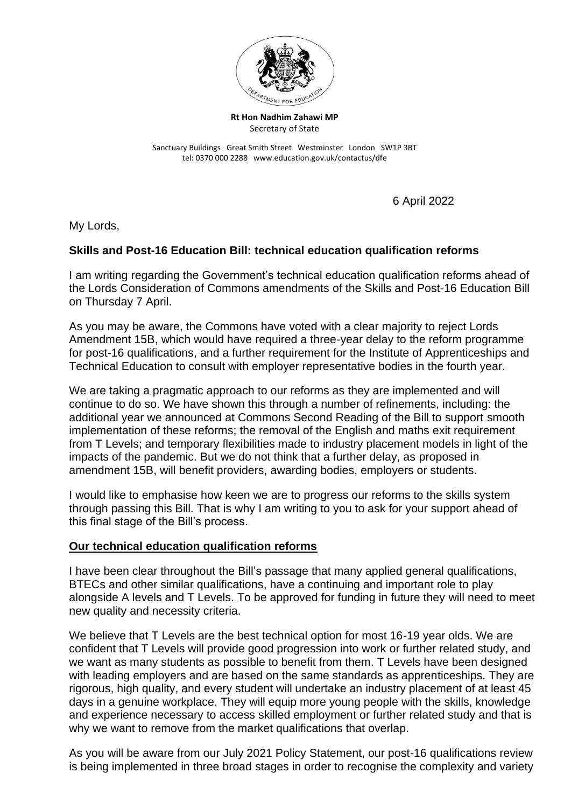

**Rt Hon Nadhim Zahawi MP** Secretary of State

Sanctuary Buildings Great Smith Street Westminster London SW1P 3BT tel: 0370 000 2288 www.education.gov.uk/contactus/dfe

6 April 2022

My Lords,

### **Skills and Post-16 Education Bill: technical education qualification reforms**

I am writing regarding the Government's technical education qualification reforms ahead of the Lords Consideration of Commons amendments of the Skills and Post-16 Education Bill on Thursday 7 April.

As you may be aware, the Commons have voted with a clear majority to reject Lords Amendment 15B, which would have required a three-year delay to the reform programme for post-16 qualifications, and a further requirement for the Institute of Apprenticeships and Technical Education to consult with employer representative bodies in the fourth year.

We are taking a pragmatic approach to our reforms as they are implemented and will continue to do so. We have shown this through a number of refinements, including: the additional year we announced at Commons Second Reading of the Bill to support smooth implementation of these reforms; the removal of the English and maths exit requirement from T Levels; and temporary flexibilities made to industry placement models in light of the impacts of the pandemic. But we do not think that a further delay, as proposed in amendment 15B, will benefit providers, awarding bodies, employers or students.

I would like to emphasise how keen we are to progress our reforms to the skills system through passing this Bill. That is why I am writing to you to ask for your support ahead of this final stage of the Bill's process.

#### **Our technical education qualification reforms**

I have been clear throughout the Bill's passage that many applied general qualifications, BTECs and other similar qualifications, have a continuing and important role to play alongside A levels and T Levels. To be approved for funding in future they will need to meet new quality and necessity criteria.

We believe that T Levels are the best technical option for most 16-19 year olds. We are confident that T Levels will provide good progression into work or further related study, and we want as many students as possible to benefit from them. T Levels have been designed with leading employers and are based on the same standards as apprenticeships. They are rigorous, high quality, and every student will undertake an industry placement of at least 45 days in a genuine workplace. They will equip more young people with the skills, knowledge and experience necessary to access skilled employment or further related study and that is why we want to remove from the market qualifications that overlap.

As you will be aware from our July 2021 Policy Statement, our post-16 qualifications review is being implemented in three broad stages in order to recognise the complexity and variety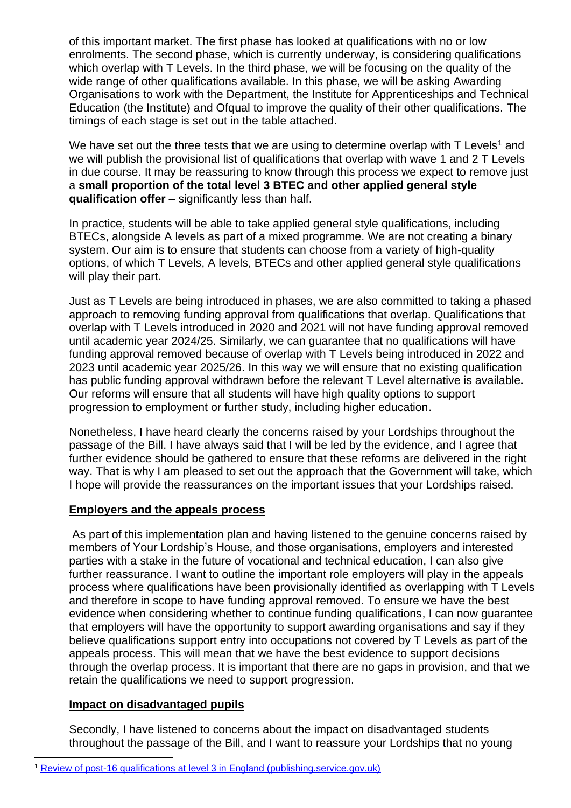of this important market. The first phase has looked at qualifications with no or low enrolments. The second phase, which is currently underway, is considering qualifications which overlap with T Levels. In the third phase, we will be focusing on the quality of the wide range of other qualifications available. In this phase, we will be asking Awarding Organisations to work with the Department, the Institute for Apprenticeships and Technical Education (the Institute) and Ofqual to improve the quality of their other qualifications. The timings of each stage is set out in the table attached.

We have set out the three tests that we are using to determine overlap with  $T$  Levels<sup>1</sup> and we will publish the provisional list of qualifications that overlap with wave 1 and 2 T Levels in due course. It may be reassuring to know through this process we expect to remove just a **small proportion of the total level 3 BTEC and other applied general style qualification offer** – significantly less than half.

In practice, students will be able to take applied general style qualifications, including BTECs, alongside A levels as part of a mixed programme. We are not creating a binary system. Our aim is to ensure that students can choose from a variety of high-quality options, of which T Levels, A levels, BTECs and other applied general style qualifications will play their part.

Just as T Levels are being introduced in phases, we are also committed to taking a phased approach to removing funding approval from qualifications that overlap. Qualifications that overlap with T Levels introduced in 2020 and 2021 will not have funding approval removed until academic year 2024/25. Similarly, we can guarantee that no qualifications will have funding approval removed because of overlap with T Levels being introduced in 2022 and 2023 until academic year 2025/26. In this way we will ensure that no existing qualification has public funding approval withdrawn before the relevant T Level alternative is available. Our reforms will ensure that all students will have high quality options to support progression to employment or further study, including higher education.

Nonetheless, I have heard clearly the concerns raised by your Lordships throughout the passage of the Bill. I have always said that I will be led by the evidence, and I agree that further evidence should be gathered to ensure that these reforms are delivered in the right way. That is why I am pleased to set out the approach that the Government will take, which I hope will provide the reassurances on the important issues that your Lordships raised.

#### **Employers and the appeals process**

As part of this implementation plan and having listened to the genuine concerns raised by members of Your Lordship's House, and those organisations, employers and interested parties with a stake in the future of vocational and technical education, I can also give further reassurance. I want to outline the important role employers will play in the appeals process where qualifications have been provisionally identified as overlapping with T Levels and therefore in scope to have funding approval removed. To ensure we have the best evidence when considering whether to continue funding qualifications, I can now guarantee that employers will have the opportunity to support awarding organisations and say if they believe qualifications support entry into occupations not covered by T Levels as part of the appeals process. This will mean that we have the best evidence to support decisions through the overlap process. It is important that there are no gaps in provision, and that we retain the qualifications we need to support progression.

# **Impact on disadvantaged pupils**

Secondly, I have listened to concerns about the impact on disadvantaged students throughout the passage of the Bill, and I want to reassure your Lordships that no young

<sup>1</sup> [Review of post-16 qualifications at level 3 in England \(publishing.service.gov.uk\)](https://assets.publishing.service.gov.uk/government/uploads/system/uploads/attachment_data/file/1003821/Review_of_post-16_qualifications_at_level_3_in_England_policy_statement.pdf)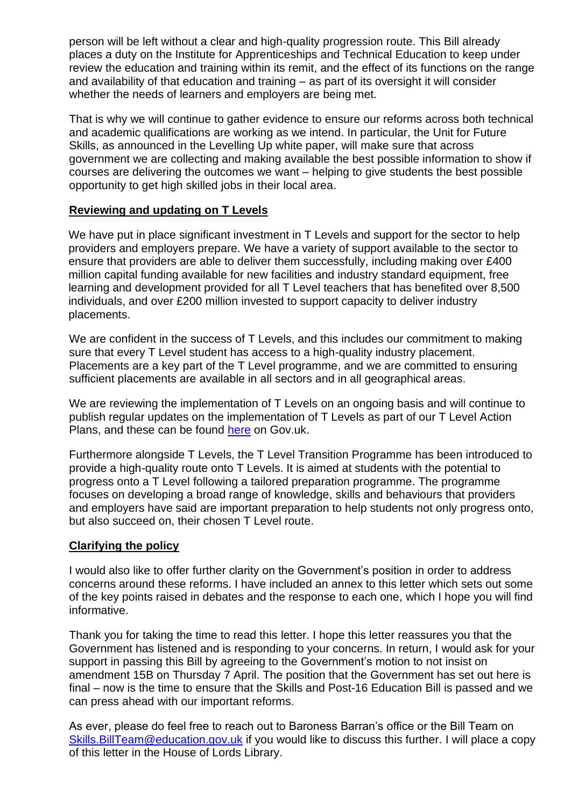person will be left without a clear and high-quality progression route. This Bill already places a duty on the Institute for Apprenticeships and Technical Education to keep under review the education and training within its remit, and the effect of its functions on the range and availability of that education and training – as part of its oversight it will consider whether the needs of learners and employers are being met.

That is why we will continue to gather evidence to ensure our reforms across both technical and academic qualifications are working as we intend. In particular, the Unit for Future Skills, as announced in the Levelling Up white paper, will make sure that across government we are collecting and making available the best possible information to show if courses are delivering the outcomes we want – helping to give students the best possible opportunity to get high skilled jobs in their local area.

### **Reviewing and updating on T Levels**

We have put in place significant investment in T Levels and support for the sector to help providers and employers prepare. We have a variety of support available to the sector to ensure that providers are able to deliver them successfully, including making over £400 million capital funding available for new facilities and industry standard equipment, free learning and development provided for all T Level teachers that has benefited over 8,500 individuals, and over £200 million invested to support capacity to deliver industry placements.

We are confident in the success of T Levels, and this includes our commitment to making sure that every T Level student has access to a high-quality industry placement. Placements are a key part of the T Level programme, and we are committed to ensuring sufficient placements are available in all sectors and in all geographical areas.

We are reviewing the implementation of T Levels on an ongoing basis and will continue to publish regular updates on the implementation of T Levels as part of our T Level Action Plans, and these can be found [here](https://www.gov.uk/government/publications/t-level-action-plan?msclkid=064f2709b0f611ec8839f6ae313af1bc) on Gov.uk.

Furthermore alongside T Levels, the T Level Transition Programme has been introduced to provide a high-quality route onto T Levels. It is aimed at students with the potential to progress onto a T Level following a tailored preparation programme. The programme focuses on developing a broad range of knowledge, skills and behaviours that providers and employers have said are important preparation to help students not only progress onto, but also succeed on, their chosen T Level route.

#### **Clarifying the policy**

I would also like to offer further clarity on the Government's position in order to address concerns around these reforms. I have included an annex to this letter which sets out some of the key points raised in debates and the response to each one, which I hope you will find informative.

Thank you for taking the time to read this letter. I hope this letter reassures you that the Government has listened and is responding to your concerns. In return, I would ask for your support in passing this Bill by agreeing to the Government's motion to not insist on amendment 15B on Thursday 7 April. The position that the Government has set out here is final – now is the time to ensure that the Skills and Post-16 Education Bill is passed and we can press ahead with our important reforms.

As ever, please do feel free to reach out to Baroness Barran's office or the Bill Team on [Skills.BillTeam@education.gov.uk](mailto:Skills.BillTeam@education.gov.uk) if you would like to discuss this further. I will place a copy of this letter in the House of Lords Library.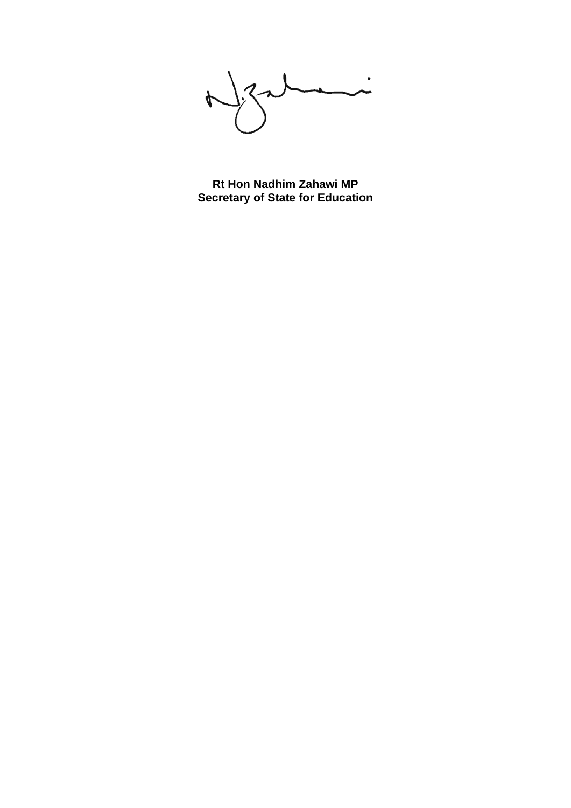$\bigcup_{i}$  $\downarrow$  $\sim$ 

**Rt Hon Nadhim Zahawi MP Secretary of State for Education**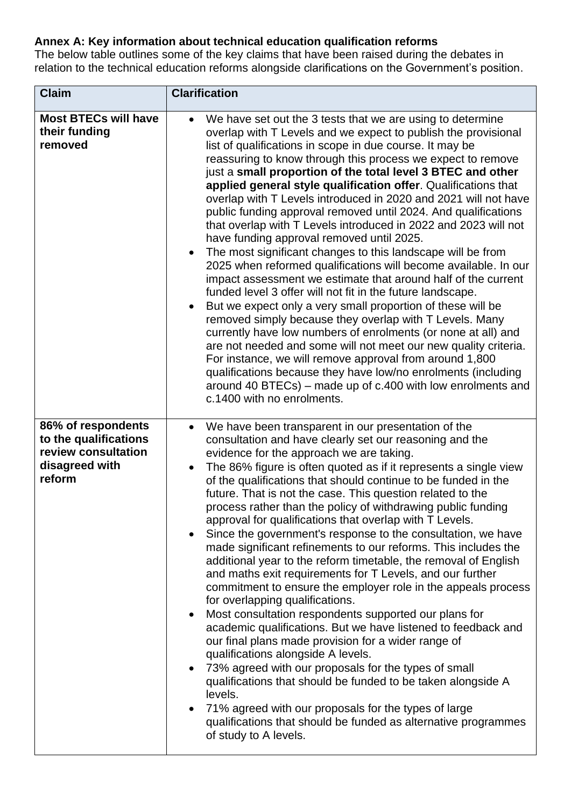# **Annex A: Key information about technical education qualification reforms**

The below table outlines some of the key claims that have been raised during the debates in relation to the technical education reforms alongside clarifications on the Government's position.

| <b>Claim</b>                                                                                   | <b>Clarification</b>                                                                                                                                                                                                                                                                                                                                                                                                                                                                                                                                                                                                                                                                                                                                                                                                                                                                                                                                                                                                                                                                                                                                                                                                                                                                                                                                                                                                                          |  |  |
|------------------------------------------------------------------------------------------------|-----------------------------------------------------------------------------------------------------------------------------------------------------------------------------------------------------------------------------------------------------------------------------------------------------------------------------------------------------------------------------------------------------------------------------------------------------------------------------------------------------------------------------------------------------------------------------------------------------------------------------------------------------------------------------------------------------------------------------------------------------------------------------------------------------------------------------------------------------------------------------------------------------------------------------------------------------------------------------------------------------------------------------------------------------------------------------------------------------------------------------------------------------------------------------------------------------------------------------------------------------------------------------------------------------------------------------------------------------------------------------------------------------------------------------------------------|--|--|
| <b>Most BTECs will have</b><br>their funding<br>removed                                        | We have set out the 3 tests that we are using to determine<br>overlap with T Levels and we expect to publish the provisional<br>list of qualifications in scope in due course. It may be<br>reassuring to know through this process we expect to remove<br>just a small proportion of the total level 3 BTEC and other<br>applied general style qualification offer. Qualifications that<br>overlap with T Levels introduced in 2020 and 2021 will not have<br>public funding approval removed until 2024. And qualifications<br>that overlap with T Levels introduced in 2022 and 2023 will not<br>have funding approval removed until 2025.<br>The most significant changes to this landscape will be from<br>$\bullet$<br>2025 when reformed qualifications will become available. In our<br>impact assessment we estimate that around half of the current<br>funded level 3 offer will not fit in the future landscape.<br>But we expect only a very small proportion of these will be<br>removed simply because they overlap with T Levels. Many<br>currently have low numbers of enrolments (or none at all) and<br>are not needed and some will not meet our new quality criteria.<br>For instance, we will remove approval from around 1,800<br>qualifications because they have low/no enrolments (including<br>around 40 BTECs) – made up of c.400 with low enrolments and<br>c.1400 with no enrolments.                            |  |  |
| 86% of respondents<br>to the qualifications<br>review consultation<br>disagreed with<br>reform | We have been transparent in our presentation of the<br>$\bullet$<br>consultation and have clearly set our reasoning and the<br>evidence for the approach we are taking.<br>The 86% figure is often quoted as if it represents a single view<br>$\bullet$<br>of the qualifications that should continue to be funded in the<br>future. That is not the case. This question related to the<br>process rather than the policy of withdrawing public funding<br>approval for qualifications that overlap with T Levels.<br>Since the government's response to the consultation, we have<br>$\bullet$<br>made significant refinements to our reforms. This includes the<br>additional year to the reform timetable, the removal of English<br>and maths exit requirements for T Levels, and our further<br>commitment to ensure the employer role in the appeals process<br>for overlapping qualifications.<br>Most consultation respondents supported our plans for<br>$\bullet$<br>academic qualifications. But we have listened to feedback and<br>our final plans made provision for a wider range of<br>qualifications alongside A levels.<br>73% agreed with our proposals for the types of small<br>$\bullet$<br>qualifications that should be funded to be taken alongside A<br>levels.<br>71% agreed with our proposals for the types of large<br>qualifications that should be funded as alternative programmes<br>of study to A levels. |  |  |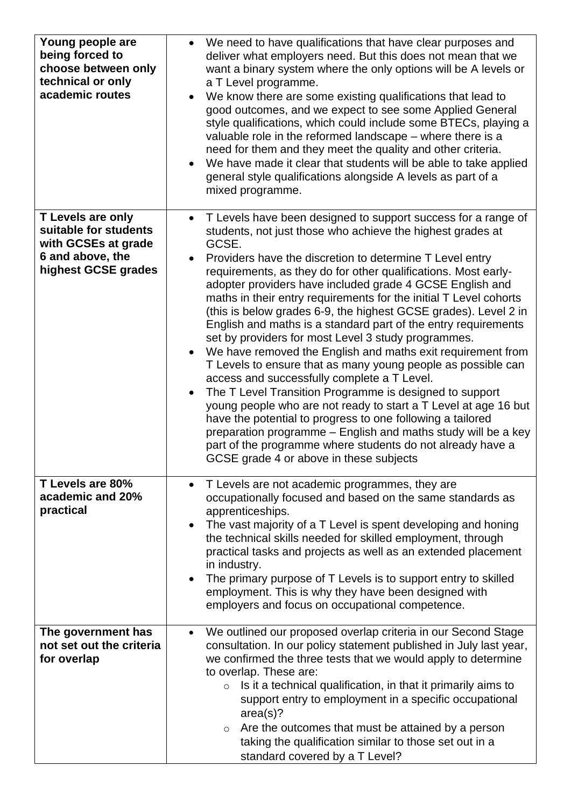| Young people are<br>being forced to<br>choose between only<br>technical or only<br>academic routes                  | We need to have qualifications that have clear purposes and<br>$\bullet$<br>deliver what employers need. But this does not mean that we<br>want a binary system where the only options will be A levels or<br>a T Level programme.<br>We know there are some existing qualifications that lead to<br>good outcomes, and we expect to see some Applied General<br>style qualifications, which could include some BTECs, playing a<br>valuable role in the reformed landscape - where there is a<br>need for them and they meet the quality and other criteria.<br>We have made it clear that students will be able to take applied<br>$\bullet$<br>general style qualifications alongside A levels as part of a<br>mixed programme.                                                                                                                                                                                                                                                                                                                                                                                                                                                         |
|---------------------------------------------------------------------------------------------------------------------|--------------------------------------------------------------------------------------------------------------------------------------------------------------------------------------------------------------------------------------------------------------------------------------------------------------------------------------------------------------------------------------------------------------------------------------------------------------------------------------------------------------------------------------------------------------------------------------------------------------------------------------------------------------------------------------------------------------------------------------------------------------------------------------------------------------------------------------------------------------------------------------------------------------------------------------------------------------------------------------------------------------------------------------------------------------------------------------------------------------------------------------------------------------------------------------------|
| <b>T Levels are only</b><br>suitable for students<br>with GCSEs at grade<br>6 and above, the<br>highest GCSE grades | T Levels have been designed to support success for a range of<br>$\bullet$<br>students, not just those who achieve the highest grades at<br>GCSE.<br>Providers have the discretion to determine T Level entry<br>requirements, as they do for other qualifications. Most early-<br>adopter providers have included grade 4 GCSE English and<br>maths in their entry requirements for the initial T Level cohorts<br>(this is below grades 6-9, the highest GCSE grades). Level 2 in<br>English and maths is a standard part of the entry requirements<br>set by providers for most Level 3 study programmes.<br>We have removed the English and maths exit requirement from<br>$\bullet$<br>T Levels to ensure that as many young people as possible can<br>access and successfully complete a T Level.<br>The T Level Transition Programme is designed to support<br>$\bullet$<br>young people who are not ready to start a T Level at age 16 but<br>have the potential to progress to one following a tailored<br>preparation programme – English and maths study will be a key<br>part of the programme where students do not already have a<br>GCSE grade 4 or above in these subjects |
| T Levels are 80%<br>academic and 20%<br>practical                                                                   | T Levels are not academic programmes, they are<br>$\bullet$<br>occupationally focused and based on the same standards as<br>apprenticeships.<br>The vast majority of a T Level is spent developing and honing<br>$\bullet$<br>the technical skills needed for skilled employment, through<br>practical tasks and projects as well as an extended placement<br>in industry.<br>The primary purpose of T Levels is to support entry to skilled<br>$\bullet$<br>employment. This is why they have been designed with<br>employers and focus on occupational competence.                                                                                                                                                                                                                                                                                                                                                                                                                                                                                                                                                                                                                       |
| The government has<br>not set out the criteria<br>for overlap                                                       | We outlined our proposed overlap criteria in our Second Stage<br>$\bullet$<br>consultation. In our policy statement published in July last year,<br>we confirmed the three tests that we would apply to determine<br>to overlap. These are:<br>Is it a technical qualification, in that it primarily aims to<br>$\circ$<br>support entry to employment in a specific occupational<br>area(s)?<br>$\circ$ Are the outcomes that must be attained by a person<br>taking the qualification similar to those set out in a<br>standard covered by a T Level?                                                                                                                                                                                                                                                                                                                                                                                                                                                                                                                                                                                                                                    |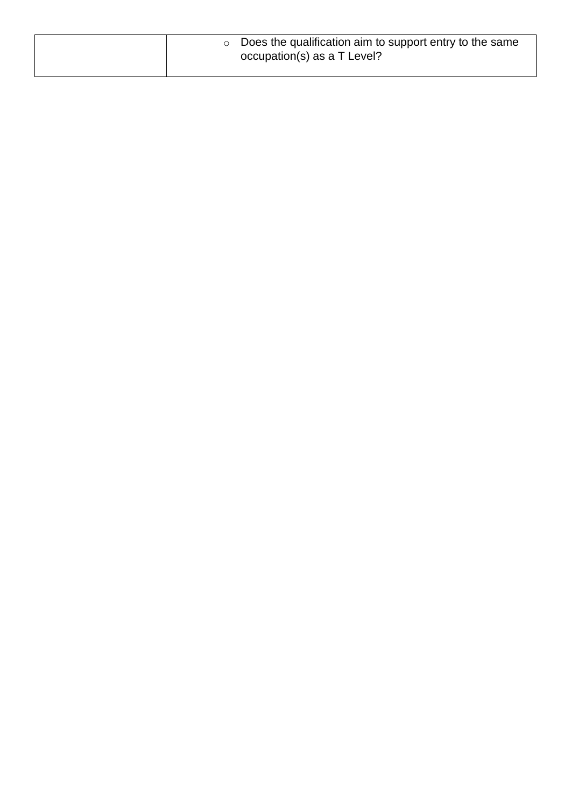| $\circ$ Does the qualification aim to support entry to the same<br>occupation(s) as a T Level? |
|------------------------------------------------------------------------------------------------|
|                                                                                                |